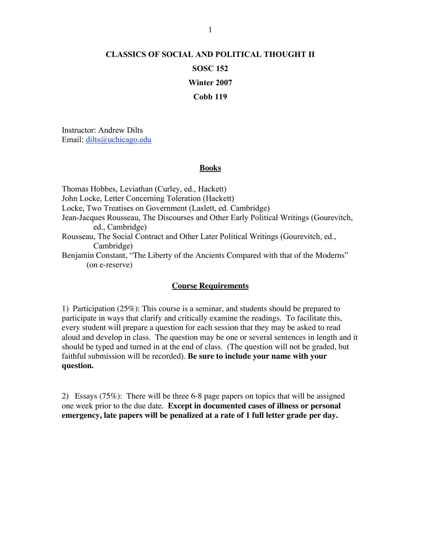## **CLASSICS OF SOCIAL AND POLITICAL THOUGHT II SOSC 152 Winter 2007 Cobb 119**

Instructor: Andrew Dilts Email: dilts@uchicago.edu

## **Books**

Thomas Hobbes, Leviathan (Curley, ed., Hackett) John Locke, Letter Concerning Toleration (Hackett) Locke, Two Treatises on Government (Laslett, ed. Cambridge) Jean-Jacques Rousseau, The Discourses and Other Early Political Writings (Gourevitch, ed., Cambridge) Rousseau, The Social Contract and Other Later Political Writings (Gourevitch, ed., Cambridge) Benjamin Constant, "The Liberty of the Ancients Compared with that of the Moderns" (on e-reserve)

## **Course Requirements**

1) Participation (25%): This course is a seminar, and students should be prepared to participate in ways that clarify and critically examine the readings. To facilitate this, every student will prepare a question for each session that they may be asked to read aloud and develop in class. The question may be one or several sentences in length and it should be typed and turned in at the end of class. (The question will not be graded, but faithful submission will be recorded). **Be sure to include your name with your question.**

2) Essays (75%): There will be three 6-8 page papers on topics that will be assigned one week prior to the due date. **Except in documented cases of illness or personal emergency, late papers will be penalized at a rate of 1 full letter grade per day.**